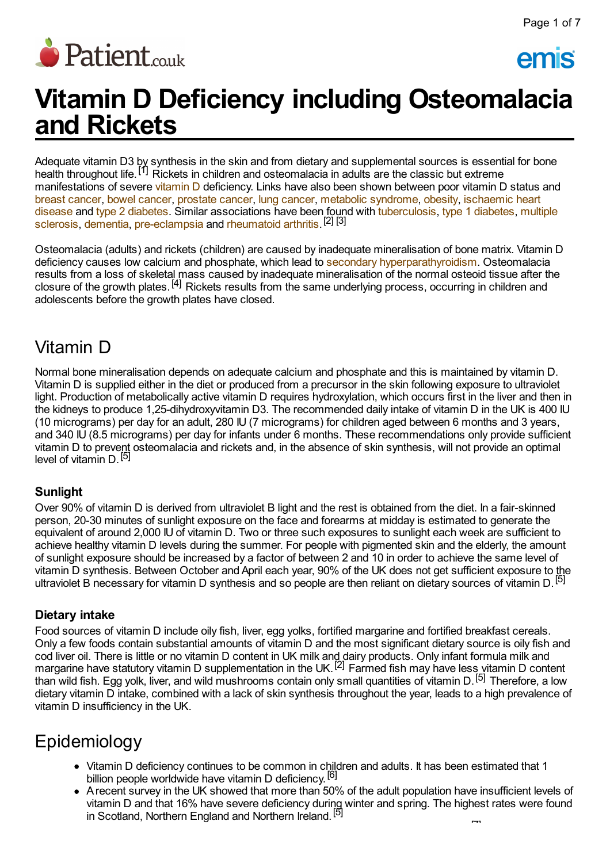

emis

# **Vitamin D Deficiency including Osteomalacia and Rickets**

Adequate vitamin D3 by synthesis in the skin and from dietary and supplemental sources is essential for bone health throughout life.<sup>[1]</sup> Rickets in children and osteomalacia in adults are the classic but extreme manifestations of severe [vitamin](http://www.patient.co.uk/search.asp?searchterm=VITAMIN+D+PREPARATION&collections=PPsearch) D deficiency. Links have also been shown between poor vitamin D status and breast [cancer,](http://www.patient.co.uk/search.asp?searchterm=BREAST+CANCER&collections=PPsearch) bowel [cancer](http://www.patient.co.uk/search.asp?searchterm=BOWEL+CANCER&collections=PPsearch), [prostate](http://www.patient.co.uk/search.asp?searchterm=PROSTATE+CANCER&collections=PPsearch) cancer, lung [cancer,](http://www.patient.co.uk/search.asp?searchterm=LUNG+CANCER&collections=PPsearch) metabolic [syndrome,](http://www.patient.co.uk/search.asp?searchterm=METABOLIC+SYNDROME+X&collections=PPsearch) [obesity,](http://www.patient.co.uk/search.asp?searchterm=OBESITY&collections=PPsearch) ischaemic heart disease and type 2 [diabetes](http://www.patient.co.uk/search.asp?searchterm=TYPE+2+DIABETES+MELLITUS&collections=PPsearch). Similar associations have been found with [tuberculosis,](http://www.patient.co.uk/search.asp?searchterm=MULTIPLE+SCLEROSIS++MS+&collections=PPsearch) type 1 [diabetes](http://www.patient.co.uk/search.asp?searchterm=INSULIN+DEPENDENT+DIABETES+MELLITUS&collections=PPsearch), multiple sclerosis, [dementia,](http://www.patient.co.uk/search.asp?searchterm=DEMENTIA&collections=PPsearch) [pre-eclampsia](http://www.patient.co.uk/search.asp?searchterm=PRE+ECLAMPSIA&collections=PPsearch) and [rheumatoid](http://www.patient.co.uk/search.asp?searchterm=RHEUMATOID+ARTHRITIS&collections=PPsearch) arthritis.<sup>[2]</sup> [3]

Osteomalacia (adults) and rickets (children) are caused by inadequate mineralisation of bone matrix. Vitamin D deficiency causes low calcium and phosphate, which lead to secondary [hyperparathyroidism](http://www.patient.co.uk/search.asp?searchterm=SECONDARY+HYPERPARATHYROIDISM&collections=PPsearch). Osteomalacia results from a loss of skeletal mass caused by inadequate mineralisation of the normal osteoid tissue after the closure of the growth plates. [4] Rickets results from the same underlying process, occurring in children and adolescents before the growth plates have closed.

### Vitamin D

Normal bone mineralisation depends on adequate calcium and phosphate and this is maintained by vitamin D. Vitamin D is supplied either in the diet or produced from a precursor in the skin following exposure to ultraviolet light. Production of metabolically active vitamin D requires hydroxylation, which occurs first in the liver and then in the kidneys to produce 1,25-dihydroxyvitamin D3. The recommended daily intake of vitamin D in the UK is 400 IU (10 micrograms) per day for an adult, 280 IU (7 micrograms) for children aged between 6 months and 3 years, and 340 IU (8.5 micrograms) per day for infants under 6 months. These recommendations only provide sufficient vitamin D to prevent osteomalacia and rickets and, in the absence of skin synthesis, will not provide an optimal level of vitamin D.<sup>[5]</sup>

### **Sunlight**

Over 90% of vitamin D is derived from ultraviolet B light and the rest is obtained from the diet. In a fair-skinned person, 20-30 minutes of sunlight exposure on the face and forearms at midday is estimated to generate the equivalent of around 2,000 IU of vitamin D. Two or three such exposures to sunlight each week are sufficient to achieve healthy vitamin D levels during the summer. For people with pigmented skin and the elderly, the amount of sunlight exposure should be increased by a factor of between 2 and 10 in order to achieve the same level of vitamin D synthesis. Between October and April each year, 90% of the UK does not get sufficient exposure to the ultraviolet B necessary for vitamin D synthesis and so people are then reliant on dietary sources of vitamin D. <sup>[5]</sup>

### **Dietary intake**

Food sources of vitamin D include oily fish, liver, egg yolks, fortified margarine and fortified breakfast cereals. Only a few foods contain substantial amounts of vitamin D and the most significant dietary source is oily fish and cod liver oil. There is little or no vitamin D content in UK milk and dairy products. Only infant formula milk and out the commission material of the material Diversity of Charles and Spreadors, Provision of the material military material military material military material military material military material military material material than wild fish. Egg yolk, liver, and wild mushrooms contain only small quantities of vitamin D. [5] Therefore, a low dietary vitamin D intake, combined with a lack of skin synthesis throughout the year, leads to a high prevalence of vitamin D insufficiency in the UK.

# Epidemiology

- Vitamin D deficiency continues to be common in children and adults. It has been estimated that 1 billion people worldwide have vitamin D deficiency.<sup>[6]</sup>
- Arecent survey in the UK showed that more than 50% of the adult population have insufficient levels of vitamin D and that 16% have severe deficiency during winter and spring. The highest rates were found in Scotland, Northern England and Northern Ireland.<sup>[5]</sup> [7]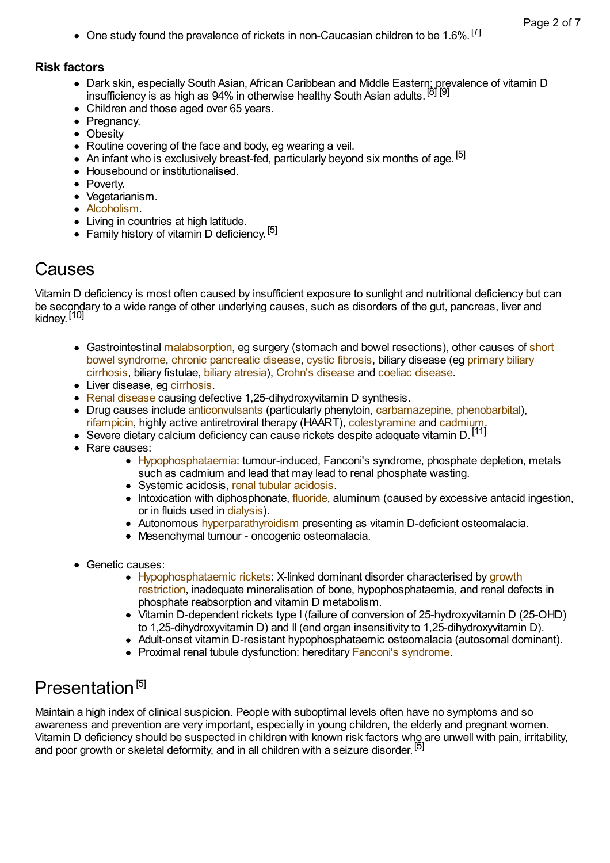One study found the prevalence of rickets in non-Caucasian children to be 1.6%.<sup>[7]</sup>

#### **Risk factors**

- Dark skin, especially South Asian, African Caribbean and Middle Eastern; prevalence of vitamin D insufficiency is as high as 94% in otherwise healthy South Asian adults.<sup>[8] [9]</sup>
- Children and those aged over 65 years.
- Pregnancy.
- Obesity
- Routine covering of the face and body, eg wearing a veil.
- An infant who is exclusively breast-fed, particularly beyond six months of age.<sup>[5]</sup>
- Housebound or institutionalised.
- Poverty.
- Vegetarianism.
- [Alcoholism.](http://www.patient.co.uk/search.asp?searchterm=ALCOHOL+ADDICTION&collections=PPsearch)
- Living in countries at high latitude.
- Ennig in Commod in Inghamment of the Family history of vitamin D deficiency.<sup>[5]</sup>

### Causes

Vitamin D deficiency is most often caused by insufficient exposure to sunlight and nutritional deficiency but can be secondary to a wide range of other underlying causes, such as disorders of the gut, pancreas, liver and kidney.<sup>[10]</sup>

- [Gastrointestinal](http://www.patient.co.uk/search.asp?searchterm=SHORT+GUT+SYNDROME&collections=PPsearch) [malabsorption](http://www.patient.co.uk/search.asp?searchterm=GASTROINTESTINAL+MALABSORPTION&collections=PPsearch), eg surgery (stomach and bowel resections), other causes of short bowel [syndrome,](http://www.patient.co.uk/search.asp?searchterm=PRIMARY+BILIARY+CIRRHOSIS&collections=PPsearch) chronic [pancreatic](http://www.patient.co.uk/search.asp?searchterm=CHRONIC+PANCREATITIS&collections=PPsearch) disease, cystic [fibrosis](http://www.patient.co.uk/search.asp?searchterm=CYSTIC+FIBROSIS&collections=PPsearch), biliary disease (eg primary biliary cirrhosis, biliary fistulae, biliary [atresia](http://www.patient.co.uk/search.asp?searchterm=BILIARY+ATRESIA&collections=PPsearch)), Crohn's [disease](http://www.patient.co.uk/search.asp?searchterm=CROHN+S+DISEASE&collections=PPsearch) and coeliac [disease.](http://www.patient.co.uk/search.asp?searchterm=COELIAC+DISEASE&collections=PPsearch)
- Liver disease, eg [cirrhosis.](http://www.patient.co.uk/search.asp?searchterm=CIRRHOSIS+OF+THE+LIVER&collections=PPsearch)
- Renal [disease](http://www.patient.co.uk/search.asp?searchterm=KIDNEY+DISORDERS&collections=PPsearch) causing defective 1,25-dihydroxyvitamin D synthesis.
- Drug causes include [anticonvulsants](http://www.patient.co.uk/search.asp?searchterm=ANTICONVULSANTS&collections=PPsearch) (particularly phenytoin, [carbamazepine](http://www.patient.co.uk/search.asp?searchterm=CARBAMAZEPINE&collections=PPsearch), [phenobarbital\)](http://www.patient.co.uk/search.asp?searchterm=PHENOBARBITONE&collections=PPsearch), [rifampicin,](http://www.patient.co.uk/search.asp?searchterm=RIFAMPICIN&collections=PPsearch) highly active antiretroviral therapy (HAART), [colestyramine](http://www.patient.co.uk/search.asp?searchterm=COLESTYRAMINE&collections=PPsearch) and [cadmium.](http://www.patient.co.uk/doctor/heavy-metal-poisoning)
- Severe dietary calcium deficiency can cause rickets despite adequate vitamin D.<sup>[11]</sup>
- Rare causes:
	- [Hypophosphataemia:](http://www.patient.co.uk/search.asp?searchterm=HYPOPHOSPHATAEMIA&collections=PPsearch) tumour-induced, Fanconi's syndrome, phosphate depletion, metals such as cadmium and lead that may lead to renal phosphate wasting.
	- Systemic acidosis, renal tubular [acidosis.](http://www.patient.co.uk/search.asp?searchterm=RENAL+TUBULAR+ACIDOSIS&collections=PPsearch)
	- $\bullet$  Intoxication with diphosphonate, [fluoride](http://www.patient.co.uk/search.asp?searchterm=FLUORIDE+PRODUCT&collections=PPsearch), aluminum (caused by excessive antacid ingestion, or in fluids used in [dialysis\)](http://www.patient.co.uk/search.asp?searchterm=RENAL+DIALYSIS&collections=PPsearch).
	- Autonomous [hyperparathyroidism](http://www.patient.co.uk/doctor/hyperparathyroidism-pro) presenting as vitamin D-deficient osteomalacia.
	- Mesenchymal tumour oncogenic osteomalacia.
- Genetic causes:
	- [Hypophosphataemic](http://www.patient.co.uk/search.asp?searchterm=SHORT+STATURE&collections=PPsearch) rickets: X-linked dominant disorder characterised by growth restriction, inadequate mineralisation of bone, hypophosphataemia, and renal defects in phosphate reabsorption and vitamin D metabolism.
	- Vitamin D-dependent rickets type I (failure of conversion of 25-hydroxyvitamin D (25-OHD) to 1,25-dihydroxyvitamin D) and II (end organ insensitivity to 1,25-dihydroxyvitamin D).
	- Adult-onset vitamin D-resistant hypophosphataemic osteomalacia (autosomal dominant).
	- Proximal renal tubule dysfunction: hereditary Fanconi's [syndrome.](http://www.patient.co.uk/search.asp?searchterm=FANCONI+SYNDROME&collections=PPsearch)

# Presentation<sup>[5]</sup>

Maintain a high index of clinical suspicion. People with suboptimal levels often have no symptoms and so awareness and prevention are very important, especially in young children, the elderly and pregnant women. Vitamin D deficiency should be suspected in children with known risk factors who are unwell with pain, irritability, and poor growth or skeletal deformity, and in all children with a seizure disorder.<sup>[5]</sup>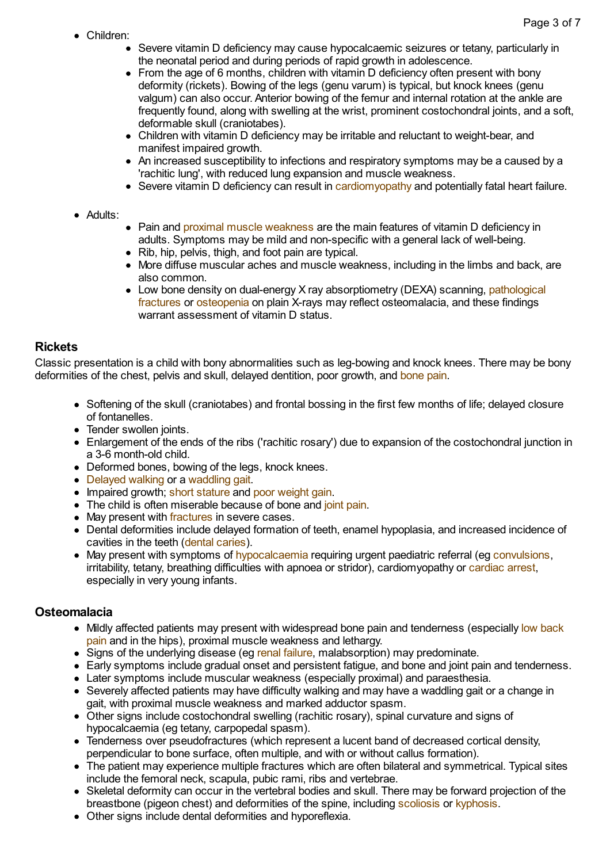Children:

- Severe vitamin D deficiency may cause hypocalcaemic seizures or tetany, particularly in the neonatal period and during periods of rapid growth in adolescence.
- From the age of 6 months, children with vitamin D deficiency often present with bony deformity (rickets). Bowing of the legs (genu varum) is typical, but knock knees (genu valgum) can also occur. Anterior bowing of the femur and internal rotation at the ankle are frequently found, along with swelling at the wrist, prominent costochondral joints, and a soft, deformable skull (craniotabes).
- Children with vitamin D deficiency may be irritable and reluctant to weight-bear, and manifest impaired growth.
- An increased susceptibility to infections and respiratory symptoms may be a caused by a 'rachitic lung', with reduced lung expansion and muscle weakness.
- Severe vitamin D deficiency can result in [cardiomyopathy](http://www.patient.co.uk/search.asp?searchterm=CARDIOMYOPATHY&collections=PPsearch) and potentially fatal heart failure.
- Adults:
- Pain and proximal muscle [weakness](http://www.patient.co.uk/search.asp?searchterm=PROXIMAL+MUSCLE+WEAKNESS&collections=PPsearch) are the main features of vitamin D deficiency in adults. Symptoms may be mild and non-specific with a general lack of well-being.
- Rib, hip, pelvis, thigh, and foot pain are typical.
- More diffuse muscular aches and muscle weakness, including in the limbs and back, are also common.
- Low bone density on dual-energy X ray [absorptiometry](http://www.patient.co.uk/search.asp?searchterm=PATHOLOGICAL+FRACTURES&collections=PPsearch) (DEXA) scanning, pathological fractures or [osteopenia](http://www.patient.co.uk/search.asp?searchterm=LYTIC+LESIONS+IN+BONE&collections=PPsearch) on plain X-rays may reflect osteomalacia, and these findings warrant assessment of vitamin D status.

#### **Rickets**

Classic presentation is a child with bony abnormalities such as leg-bowing and knock knees. There may be bony deformities of the chest, pelvis and skull, delayed dentition, poor growth, and [bone](http://www.patient.co.uk/search.asp?searchterm=BONE+PAIN&collections=PPsearch) pain.

- Softening of the skull (craniotabes) and frontal bossing in the first few months of life; delayed closure of fontanelles.
- Tender swollen joints.
- Enlargement of the ends of the ribs ('rachitic rosary') due to expansion of the costochondral junction in a 3-6 month-old child.
- Deformed bones, bowing of the legs, knock knees.
- [Delayed](http://www.patient.co.uk/doctor/delay-in-walking) walking or a [waddling](http://www.patient.co.uk/search.asp?searchterm=WADDLING+GAIT&collections=PPsearch) gait.
- Impaired growth: short [stature](http://www.patient.co.uk/search.asp?searchterm=SHORT+STATURE&collections=PPsearch) and poor [weight](http://www.patient.co.uk/search.asp?searchterm=FAILURE+TO+THRIVE&collections=PPsearch) gain.
- The child is often miserable because of bone and joint [pain](http://www.patient.co.uk/search.asp?searchterm=JOINT+PAIN&collections=PPsearch).
- May present with [fractures](http://www.patient.co.uk/search.asp?searchterm=FRACTURES&collections=PPsearch) in severe cases.
- Dental deformities include delayed formation of teeth, enamel hypoplasia, and increased incidence of cavities in the teeth (dental [caries\)](http://www.patient.co.uk/search.asp?searchterm=DENTAL+CARIES&collections=PPsearch).
- May present with symptoms of [hypocalcaemia](http://www.patient.co.uk/doctor/Hypocalcaemia.htm) requiring urgent paediatric referral (eg [convulsions,](http://www.patient.co.uk/search.asp?searchterm=CONVULSIONS&collections=PPsearch) irritability, tetany, breathing difficulties with apnoea or stridor), cardiomyopathy or [cardiac](http://www.patient.co.uk/search.asp?searchterm=CARDIAC+ARREST&collections=PPsearch) arrest, especially in very young infants.

#### **Osteomalacia**

- Mildly affected patients may present with [widespread](http://www.patient.co.uk/search.asp?searchterm=LUMBAR+BACK+PAIN&collections=PPsearch) bone pain and tenderness (especially low back pain and in the hips), proximal muscle weakness and lethargy.
- Signs of the underlying disease (eg renal [failure,](http://www.patient.co.uk/search.asp?searchterm=KIDNEY+FAILURE&collections=PPsearch) malabsorption) may predominate.
- Early symptoms include gradual onset and persistent fatigue, and bone and joint pain and tenderness.
- Later symptoms include muscular weakness (especially proximal) and paraesthesia.
- Severely affected patients may have difficulty walking and may have a waddling gait or a change in gait, with proximal muscle weakness and marked adductor spasm.
- Other signs include costochondral swelling (rachitic rosary), spinal curvature and signs of hypocalcaemia (eg tetany, carpopedal spasm).
- Tenderness over pseudofractures (which represent a lucent band of decreased cortical density, perpendicular to bone surface, often multiple, and with or without callus formation).
- The patient may experience multiple fractures which are often bilateral and symmetrical. Typical sites include the femoral neck, scapula, pubic rami, ribs and vertebrae.
- Skeletal deformity can occur in the vertebral bodies and skull. There may be forward projection of the breastbone (pigeon chest) and deformities of the spine, including [scoliosis](http://www.patient.co.uk/search.asp?searchterm=SCOLIOSIS&collections=PPsearch) or [kyphosis.](http://www.patient.co.uk/search.asp?searchterm=KYPHOSIS&collections=PPsearch)
- Other signs include dental deformities and hyporeflexia.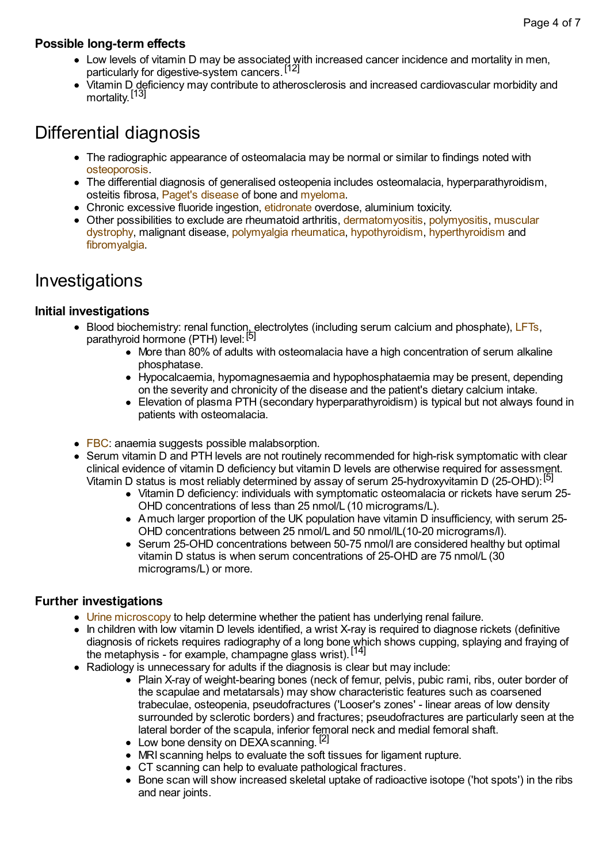#### **Possible long-term effects**

- Low levels of vitamin D may be associated with increased cancer incidence and mortality in men, particularly for digestive-system cancers. [12]
- Vitamin D deficiency may contribute to atherosclerosis and increased cardiovascular morbidity and mortality.<sup>[13]</sup>

### Differential diagnosis

- The radiographic appearance of osteomalacia may be normal or similar to findings noted with [osteoporosis.](http://www.patient.co.uk/search.asp?searchterm=OSTEOPOROSIS&collections=PPsearch)
- The differential diagnosis of generalised osteopenia includes osteomalacia, hyperparathyroidism, osteitis fibrosa, Paget's [disease](http://www.patient.co.uk/search.asp?searchterm=PAGET+S+DISEASE+OF+BONE&collections=PPsearch) of bone and [myeloma](http://www.patient.co.uk/search.asp?searchterm=MYELOMA&collections=PPsearch).
- Chronic excessive fluoride ingestion, [etidronate](http://www.patient.co.uk/search.asp?searchterm=ETIDRONATE&collections=PPsearch) overdose, aluminium toxicity.
- Other possibilities to exclude are rheumatoid arthritis, [dermatomyositis,](http://www.patient.co.uk/search.asp?searchterm=MUSCULAR+DYSTROPHY&collections=PPsearch) [polymyositis](http://www.patient.co.uk/search.asp?searchterm=POLYMYOSITIS&collections=PPsearch), muscular dystrophy, malignant disease, [polymyalgia](http://www.patient.co.uk/search.asp?searchterm=POLYMYALGIA+RHEUMATICA&collections=PPsearch) rheumatica, [hypothyroidism,](http://www.patient.co.uk/search.asp?searchterm=HYPOTHYROIDISM&collections=PPsearch) [hyperthyroidism](http://www.patient.co.uk/search.asp?searchterm=HYPERTHYROIDISM&collections=PPsearch) and [fibromyalgia.](http://www.patient.co.uk/search.asp?searchterm=FIBROMYALGIA+SYNDROME&collections=PPsearch)

### Investigations

### **Initial investigations**

- Blood biochemistry: renal function, electrolytes (including serum calcium and phosphate), [LFTs,](http://www.patient.co.uk/search.asp?searchterm=LIVER+FUNCTION+TESTS&collections=PPsearch) parathyroid hormone (PTH) level: [5]
	- More than 80% of adults with osteomalacia have a high concentration of serum alkaline phosphatase.
	- Hypocalcaemia, hypomagnesaemia and hypophosphataemia may be present, depending on the severity and chronicity of the disease and the patient's dietary calcium intake.
	- Elevation of plasma PTH (secondary hyperparathyroidism) is typical but not always found in patients with osteomalacia.
- [FBC](http://www.patient.co.uk/search.asp?searchterm=FULL+BLOOD+COUNT++FBC+&collections=PPsearch): anaemia suggests possible malabsorption.
- Serum vitamin D and PTH levels are not routinely recommended for high-risk symptomatic with clear clinical evidence of vitamin D deficiency but vitamin D levels are otherwise required for assessment. Vitamin D status is most reliably determined by assay of serum 25-hydroxyvitamin D (25-OHD): <sup>[5]</sup>
	- Vitamin D deficiency: individuals with symptomatic osteomalacia or rickets have serum 25- OHD concentrations of less than 25 nmol/L (10 micrograms/L).
	- Amuch larger proportion of the UK population have vitamin D insufficiency, with serum 25- OHD concentrations between 25 nmol/L and 50 nmol/lL(10-20 micrograms/l).
	- Serum 25-OHD concentrations between 50-75 nmol/I are considered healthy but optimal vitamin D status is when serum concentrations of 25-OHD are 75 nmol/L (30 micrograms/L) or more.

### **Further investigations**

- Urine [microscopy](http://www.patient.co.uk/search.asp?searchterm=URINE+MICROSCOPY&collections=PPsearch) to help determine whether the patient has underlying renal failure.
- In children with low vitamin D levels identified, a wrist X-ray is required to diagnose rickets (definitive diagnosis of rickets requires radiography of a long bone which shows cupping, splaying and fraying of the metaphysis - for example, champagne glass wrist).<sup>[14]</sup>
- Radiology is unnecessary for adults if the diagnosis is clear but may include:
	- Plain X-ray of weight-bearing bones (neck of femur, pelvis, pubic rami, ribs, outer border of the scapulae and metatarsals) may show characteristic features such as coarsened trabeculae, osteopenia, pseudofractures ('Looser's zones' - linear areas of low density surrounded by sclerotic borders) and fractures; pseudofractures are particularly seen at the lateral border of the scapula, inferior femoral neck and medial femoral shaft.
	- Low bone density on DEXA scanning.<sup>[2]</sup>
	- MRI scanning helps to evaluate the soft tissues for ligament rupture.
	- CT scanning can help to evaluate pathological fractures.
	- Bone scan will show increased skeletal uptake of radioactive isotope ('hot spots') in the ribs and near joints.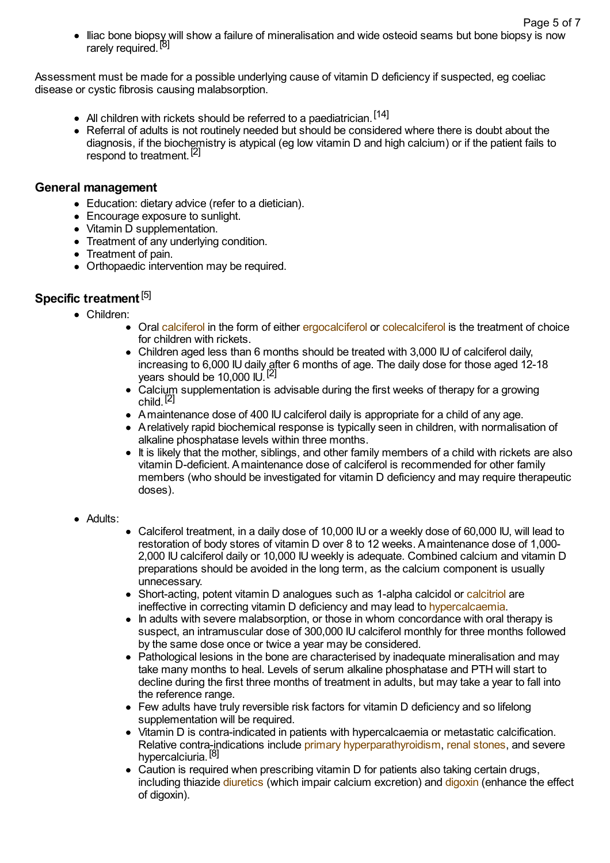• Iliac bone biopsy will show a failure of mineralisation and wide osteoid seams but bone biopsy is now rarely required.<sup>[8]</sup> Page 5 of 7

Assessment must be made for a possible underlying cause of vitamin D deficiency if suspected, eg coeliac disease or cystic fibrosis causing malabsorption.

- All children with rickets should be referred to a paediatrician.<sup>[14]</sup>
- Referral of adults is not routinely needed but should be considered where there is doubt about the diagnosis, if the biochemistry is atypical (eg low vitamin D and high calcium) or if the patient fails to respond to treatment.<sup>[2]</sup>

#### **General management**

- Education: dietary advice (refer to a dietician).
- Encourage exposure to sunlight.
- Vitamin D supplementation.
- Treatment of any underlying condition.
- Treatment of pain.
- Orthopaedic intervention may be required.

### **Specific treatment** [5]

- Children:
	- Oral [calciferol](http://www.patient.co.uk/search.asp?searchterm=ERGOCALCIFEROL+PREPARATION&collections=PPsearch) in the form of either [ergocalciferol](http://www.patient.co.uk/search.asp?searchterm=ERGOCALCIFEROL+PREPARATION&collections=PPsearch) or [colecalciferol](http://www.patient.co.uk/search.asp?searchterm=CHOLECALCIFEROL+PREPARATION&collections=PPsearch) is the treatment of choice for children with rickets.
	- Children aged less than 6 months should be treated with 3,000 IU of calciferol daily, increasing to 6,000 IU daily after 6 months of age. The daily dose for those aged 12-18 years should be 10,000 IU.<sup>[2]</sup>
	- Calcium supplementation is advisable during the first weeks of therapy for a growing child.<sup>[2]</sup>
	- Amaintenance dose of 400 IU calciferol daily is appropriate for a child of any age.
	- Arelatively rapid biochemical response is typically seen in children, with normalisation of alkaline phosphatase levels within three months.
	- It is likely that the mother, siblings, and other family members of a child with rickets are also vitamin D-deficient. Amaintenance dose of calciferol is recommended for other family members (who should be investigated for vitamin D deficiency and may require therapeutic doses).
- Adults:
- Calciferol treatment, in a daily dose of 10,000 IU or a weekly dose of 60,000 IU, will lead to restoration of body stores of vitamin D over 8 to 12 weeks. Amaintenance dose of 1,000- 2,000 IU calciferol daily or 10,000 IU weekly is adequate. Combined calcium and vitamin D preparations should be avoided in the long term, as the calcium component is usually unnecessary.
- Short-acting, potent vitamin D analogues such as 1-alpha calcidol or [calcitriol](http://www.patient.co.uk/search.asp?searchterm=CALCITRIOL+PREPARATION&collections=PPsearch) are ineffective in correcting vitamin D deficiency and may lead to [hypercalcaemia.](http://www.patient.co.uk/search.asp?searchterm=HYPERCALCAEMIA&collections=PPsearch)
- In adults with severe malabsorption, or those in whom concordance with oral therapy is suspect, an intramuscular dose of 300,000 IU calciferol monthly for three months followed by the same dose once or twice a year may be considered.
- Pathological lesions in the bone are characterised by inadequate mineralisation and may take many months to heal. Levels of serum alkaline phosphatase and PTH will start to decline during the first three months of treatment in adults, but may take a year to fall into the reference range.
- Few adults have truly reversible risk factors for vitamin D deficiency and so lifelong supplementation will be required.
- Vitamin D is contra-indicated in patients with hypercalcaemia or metastatic calcification. Relative contra-indications include primary [hyperparathyroidism](http://www.patient.co.uk/search.asp?searchterm=PRIMARY+HYPERPARATHYROIDISM&collections=PPsearch), renal [stones](http://www.patient.co.uk/search.asp?searchterm=CALCULUS+OF+KIDNEY+AND+URETER&collections=PPsearch), and severe hypercalciuria.<sup>[8]</sup>
- Caution is required when prescribing vitamin D for patients also taking certain drugs, including thiazide [diuretics](http://www.patient.co.uk/search.asp?searchterm=DIURETICS&collections=PPsearch) (which impair calcium excretion) and [digoxin](http://www.patient.co.uk/search.asp?searchterm=DIGOXIN&collections=PPsearch) (enhance the effect of digoxin).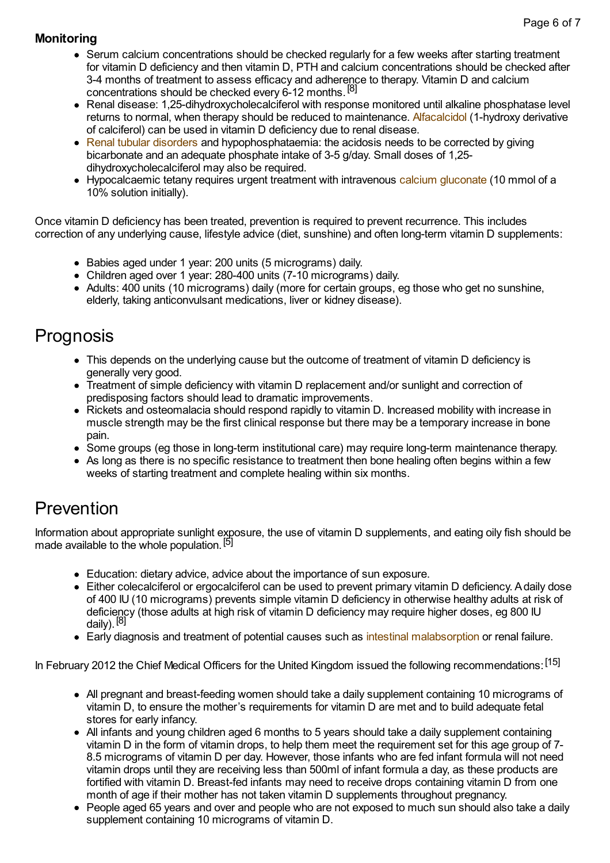### **Monitoring**

- Serum calcium concentrations should be checked regularly for a few weeks after starting treatment for vitamin D deficiency and then vitamin D, PTH and calcium concentrations should be checked after 3-4 months of treatment to assess efficacy and adherence to therapy. Vitamin D and calcium concentrations should be checked every 6-12 months.<sup>[8]</sup>
- Renal disease: 1,25-dihydroxycholecalciferol with response monitored until alkaline phosphatase level returns to normal, when therapy should be reduced to maintenance. [Alfacalcidol](http://www.patient.co.uk/search.asp?searchterm=ALFACALCIDOL&collections=PPsearch) (1-hydroxy derivative of calciferol) can be used in vitamin D deficiency due to renal disease.
- Renal tubular [disorders](http://www.patient.co.uk/search.asp?searchterm=RENAL+TUBULAR+DISORDERS&collections=PPsearch) and hypophosphataemia: the acidosis needs to be corrected by giving bicarbonate and an adequate phosphate intake of 3-5 g/day. Small doses of 1,25 dihydroxycholecalciferol may also be required.
- Hypocalcaemic tetany requires urgent treatment with intravenous calcium [gluconate](http://www.patient.co.uk/search.asp?searchterm=CALCIUM+GLUCONATE&collections=PPsearch) (10 mmol of a 10% solution initially).

Once vitamin D deficiency has been treated, prevention is required to prevent recurrence. This includes correction of any underlying cause, lifestyle advice (diet, sunshine) and often long-term vitamin D supplements:

- Babies aged under 1 year: 200 units (5 micrograms) daily.
- Children aged over 1 year: 280-400 units (7-10 micrograms) daily.
- Adults: 400 units (10 micrograms) daily (more for certain groups, eg those who get no sunshine, elderly, taking anticonvulsant medications, liver or kidney disease).

### Prognosis

- This depends on the underlying cause but the outcome of treatment of vitamin D deficiency is generally very good.
- Treatment of simple deficiency with vitamin D replacement and/or sunlight and correction of predisposing factors should lead to dramatic improvements.
- Rickets and osteomalacia should respond rapidly to vitamin D. Increased mobility with increase in muscle strength may be the first clinical response but there may be a temporary increase in bone pain.
- Some groups (eg those in long-term institutional care) may require long-term maintenance therapy.
- As long as there is no specific resistance to treatment then bone healing often begins within a few weeks of starting treatment and complete healing within six months.

### Prevention

Information about appropriate sunlight exposure, the use of vitamin D supplements, and eating oily fish should be made available to the whole population.<sup>[5]</sup>

- Education: dietary advice, advice about the importance of sun exposure.
- Either colecalciferol or ergocalciferol can be used to prevent primary vitamin D deficiency. Adaily dose of 400 IU (10 micrograms) prevents simple vitamin D deficiency in otherwise healthy adults at risk of deficiency (those adults at high risk of vitamin D deficiency may require higher doses, eg 800 IU daily).<sup>[8]</sup>
- Early diagnosis and treatment of potential causes such as intestinal [malabsorption](http://www.patient.co.uk/search.asp?searchterm=GASTROINTESTINAL+MALABSORPTION&collections=PPsearch) or renal failure.

In February 2012 the Chief Medical Officers for the United Kingdom issued the following recommendations: [15]

- All pregnant and breast-feeding women should take a daily supplement containing 10 micrograms of vitamin D, to ensure the mother's requirements for vitamin D are met and to build adequate fetal stores for early infancy.
- All infants and young children aged 6 months to 5 years should take a daily supplement containing vitamin D in the form of vitamin drops, to help them meet the requirement set for this age group of 7- 8.5 micrograms of vitamin D per day. However, those infants who are fed infant formula will not need vitamin drops until they are receiving less than 500ml of infant formula a day, as these products are fortified with vitamin D. Breast-fed infants may need to receive drops containing vitamin D from one month of age if their mother has not taken vitamin D supplements throughout pregnancy.
- People aged 65 years and over and people who are not exposed to much sun should also take a daily supplement containing 10 micrograms of vitamin D.